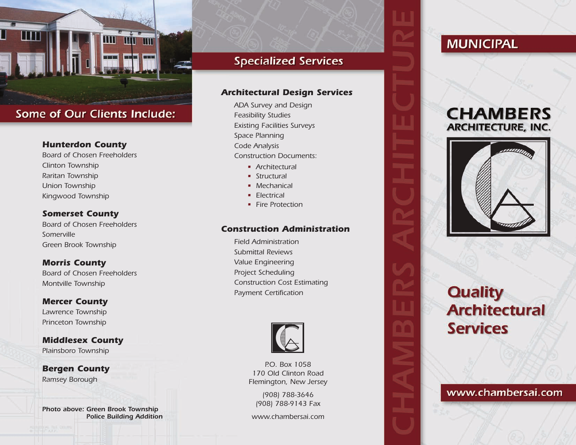

## **Some of Our Clients Include:**

#### *Hunterdon County*

*Board of Chosen Freeholders Clinton Township Raritan Township Union Township Kingwood Township*

#### *Somerset County*

*Board of Chosen Freeholders Somerville Green Brook Township*

#### *Morris County*

*Board of Chosen Freeholders Montville Township*

#### *Mercer County Lawrence Township Princeton Township*

*Middlesex County Plainsboro Township*

*Bergen County Ramsey Borough*

*Photo above: Green Brook Township Police Building Addition*

## **Specialized Services**

#### *Architectural Design Services*

*ADA Survey and Design Feasibility Studies Existing Facilities Surveys Space Planning Code Analysis Construction Documents:*

- *• Architectural*
- *• Structural*
- *• Mechanical*
- *• Electrical*
- *• Fire Protection*

#### *Construction Administration*

*Field Administration Submittal Reviews Value Engineering Project Scheduling Construction Cost Estimating Payment Certification*



*P.O. Box 1058 170 Old Clinton Road Flemington, New Jersey*

> *(908) 788-3646 (908) 788-9143 Fax*

*www.chambersai.com*

## **MUNICIPAL**

## **CHAMBERS ARCHITECTURE, INC.**



# **Quality Architectural Services**

### www.chambersai.com